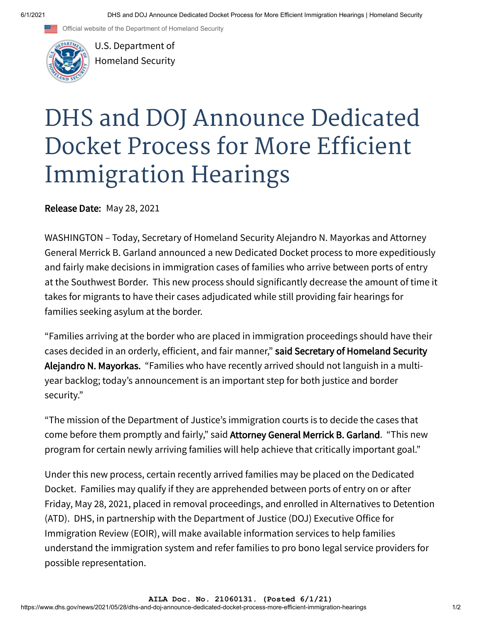Official website of the Department of Homeland Security



U.S. Department of [Homeland Security](https://www.dhs.gov/)

## DHS and DOJ Announce Dedicated Docket Process for More Efficient Immigration Hearings

**Release Date:** May 28, 2021

WASHINGTON – Today, Secretary of Homeland Security Alejandro N. Mayorkas and Attorney General Merrick B. Garland announced a new Dedicated Docket process to more expeditiously and fairly make decisions in immigration cases of families who arrive between ports of entry at the Southwest Border. This new process should significantly decrease the amount of time it takes for migrants to have their cases adjudicated while still providing fair hearings for families seeking asylum at the border.

"Families arriving at the border who are placed in immigration proceedings should have their cases decided in an orderly, efficient, and fair manner," said Secretary of Homeland Security Alejandro N. Mayorkas. "Families who have recently arrived should not languish in a multiyear backlog; today's announcement is an important step for both justice and border security."

"The mission of the Department of Justice's immigration courts is to decide the cases that come before them promptly and fairly," said Attorney General Merrick B. Garland. "This new program for certain newly arriving families will help achieve that critically important goal."

Under this new process, certain recently arrived families may be placed on the Dedicated Docket. Families may qualify if they are apprehended between ports of entry on or after Friday, May 28, 2021, placed in removal proceedings, and enrolled in Alternatives to Detention (ATD). DHS, in partnership with the Department of Justice (DOJ) Executive Office for Immigration Review (EOIR), will make available information services to help families understand the immigration system and refer families to pro bono legal service providers for possible representation.